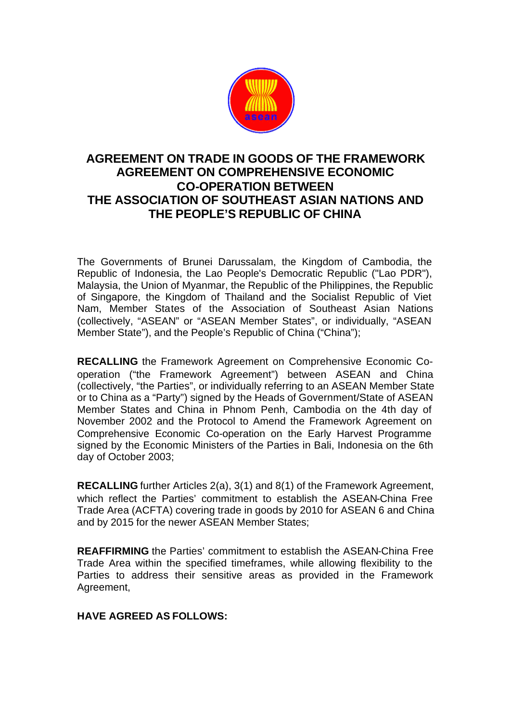

# **AGREEMENT ON TRADE IN GOODS OF THE FRAMEWORK AGREEMENT ON COMPREHENSIVE ECONOMIC CO-OPERATION BETWEEN THE ASSOCIATION OF SOUTHEAST ASIAN NATIONS AND THE PEOPLE'S REPUBLIC OF CHINA**

The Governments of Brunei Darussalam, the Kingdom of Cambodia, the Republic of Indonesia, the Lao People's Democratic Republic ("Lao PDR"), Malaysia, the Union of Myanmar, the Republic of the Philippines, the Republic of Singapore, the Kingdom of Thailand and the Socialist Republic of Viet Nam, Member States of the Association of Southeast Asian Nations (collectively, "ASEAN" or "ASEAN Member States", or individually, "ASEAN Member State"), and the People's Republic of China ("China");

**RECALLING** the Framework Agreement on Comprehensive Economic Cooperation ("the Framework Agreement") between ASEAN and China (collectively, "the Parties", or individually referring to an ASEAN Member State or to China as a "Party") signed by the Heads of Government/State of ASEAN Member States and China in Phnom Penh, Cambodia on the 4th day of November 2002 and the Protocol to Amend the Framework Agreement on Comprehensive Economic Co-operation on the Early Harvest Programme signed by the Economic Ministers of the Parties in Bali, Indonesia on the 6th day of October 2003;

**RECALLING** further Articles 2(a), 3(1) and 8(1) of the Framework Agreement, which reflect the Parties' commitment to establish the ASEAN-China Free Trade Area (ACFTA) covering trade in goods by 2010 for ASEAN 6 and China and by 2015 for the newer ASEAN Member States;

**REAFFIRMING** the Parties' commitment to establish the ASEAN-China Free Trade Area within the specified timeframes, while allowing flexibility to the Parties to address their sensitive areas as provided in the Framework Agreement,

## **HAVE AGREED AS FOLLOWS:**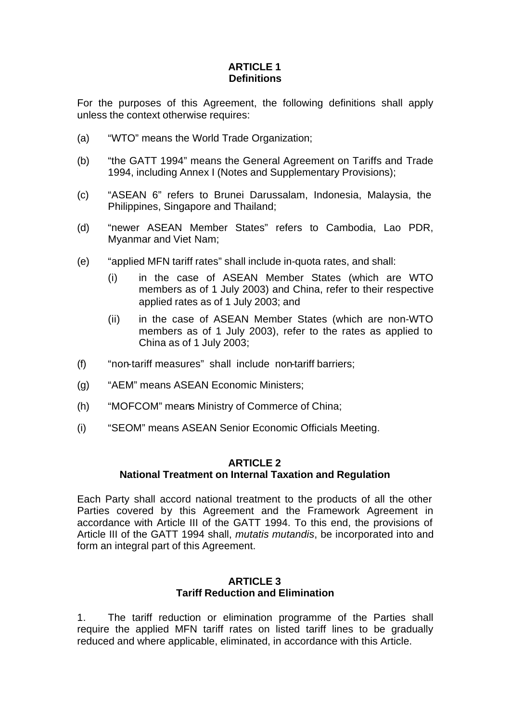# **ARTICLE 1 Definitions**

For the purposes of this Agreement, the following definitions shall apply unless the context otherwise requires:

- (a) "WTO" means the World Trade Organization;
- (b) "the GATT 1994" means the General Agreement on Tariffs and Trade 1994, including Annex I (Notes and Supplementary Provisions);
- (c) "ASEAN 6" refers to Brunei Darussalam, Indonesia, Malaysia, the Philippines, Singapore and Thailand;
- (d) "newer ASEAN Member States" refers to Cambodia, Lao PDR, Myanmar and Viet Nam;
- (e) "applied MFN tariff rates" shall include in-quota rates, and shall:
	- (i) in the case of ASEAN Member States (which are WTO members as of 1 July 2003) and China, refer to their respective applied rates as of 1 July 2003; and
	- (ii) in the case of ASEAN Member States (which are non-WTO members as of 1 July 2003), refer to the rates as applied to China as of 1 July 2003;
- (f) "non-tariff measures" shall include non-tariff barriers;
- (g) "AEM" means ASEAN Economic Ministers;
- (h) "MOFCOM" means Ministry of Commerce of China;
- (i) "SEOM" means ASEAN Senior Economic Officials Meeting.

### **ARTICLE 2 National Treatment on Internal Taxation and Regulation**

Each Party shall accord national treatment to the products of all the other Parties covered by this Agreement and the Framework Agreement in accordance with Article III of the GATT 1994. To this end, the provisions of Article III of the GATT 1994 shall, *mutatis mutandis*, be incorporated into and form an integral part of this Agreement.

### **ARTICLE 3 Tariff Reduction and Elimination**

1. The tariff reduction or elimination programme of the Parties shall require the applied MFN tariff rates on listed tariff lines to be gradually reduced and where applicable, eliminated, in accordance with this Article.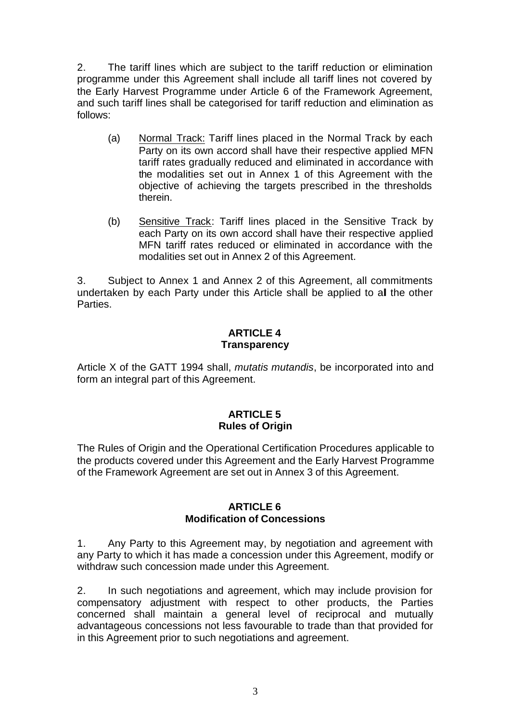2. The tariff lines which are subject to the tariff reduction or elimination programme under this Agreement shall include all tariff lines not covered by the Early Harvest Programme under Article 6 of the Framework Agreement, and such tariff lines shall be categorised for tariff reduction and elimination as follows:

- (a) Normal Track: Tariff lines placed in the Normal Track by each Party on its own accord shall have their respective applied MFN tariff rates gradually reduced and eliminated in accordance with the modalities set out in Annex 1 of this Agreement with the objective of achieving the targets prescribed in the thresholds therein.
- (b) Sensitive Track: Tariff lines placed in the Sensitive Track by each Party on its own accord shall have their respective applied MFN tariff rates reduced or eliminated in accordance with the modalities set out in Annex 2 of this Agreement.

3. Subject to Annex 1 and Annex 2 of this Agreement, all commitments undertaken by each Party under this Article shall be applied to all the other Parties.

## **ARTICLE 4 Transparency**

Article X of the GATT 1994 shall, *mutatis mutandis*, be incorporated into and form an integral part of this Agreement.

### **ARTICLE 5 Rules of Origin**

The Rules of Origin and the Operational Certification Procedures applicable to the products covered under this Agreement and the Early Harvest Programme of the Framework Agreement are set out in Annex 3 of this Agreement.

### **ARTICLE 6 Modification of Concessions**

1. Any Party to this Agreement may, by negotiation and agreement with any Party to which it has made a concession under this Agreement, modify or withdraw such concession made under this Agreement.

2. In such negotiations and agreement, which may include provision for compensatory adjustment with respect to other products, the Parties concerned shall maintain a general level of reciprocal and mutually advantageous concessions not less favourable to trade than that provided for in this Agreement prior to such negotiations and agreement.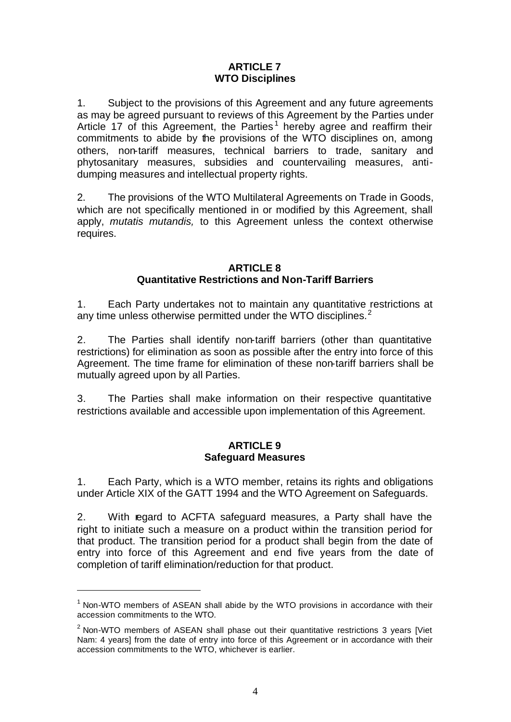### **ARTICLE 7 WTO Disciplines**

1. Subject to the provisions of this Agreement and any future agreements as may be agreed pursuant to reviews of this Agreement by the Parties under Article 17 of this Agreement, the Parties<sup>1</sup> hereby agree and reaffirm their commitments to abide by the provisions of the WTO disciplines on, among others, non-tariff measures, technical barriers to trade, sanitary and phytosanitary measures, subsidies and countervailing measures, antidumping measures and intellectual property rights.

2. The provisions of the WTO Multilateral Agreements on Trade in Goods, which are not specifically mentioned in or modified by this Agreement, shall apply, *mutatis mutandis,* to this Agreement unless the context otherwise requires.

### **ARTICLE 8 Quantitative Restrictions and Non-Tariff Barriers**

1. Each Party undertakes not to maintain any quantitative restrictions at any time unless otherwise permitted under the WTO disciplines. $2^2$ 

2. The Parties shall identify non-tariff barriers (other than quantitative restrictions) for elimination as soon as possible after the entry into force of this Agreement. The time frame for elimination of these non-tariff barriers shall be mutually agreed upon by all Parties.

3. The Parties shall make information on their respective quantitative restrictions available and accessible upon implementation of this Agreement.

#### **ARTICLE 9 Safeguard Measures**

1. Each Party, which is a WTO member, retains its rights and obligations under Article XIX of the GATT 1994 and the WTO Agreement on Safeguards.

2. With regard to ACFTA safeguard measures, a Party shall have the right to initiate such a measure on a product within the transition period for that product. The transition period for a product shall begin from the date of entry into force of this Agreement and end five years from the date of completion of tariff elimination/reduction for that product.

l

 $1$  Non-WTO members of ASEAN shall abide by the WTO provisions in accordance with their accession commitments to the WTO.

 $2$  Non-WTO members of ASEAN shall phase out their quantitative restrictions 3 years [Viet Nam: 4 years] from the date of entry into force of this Agreement or in accordance with their accession commitments to the WTO, whichever is earlier.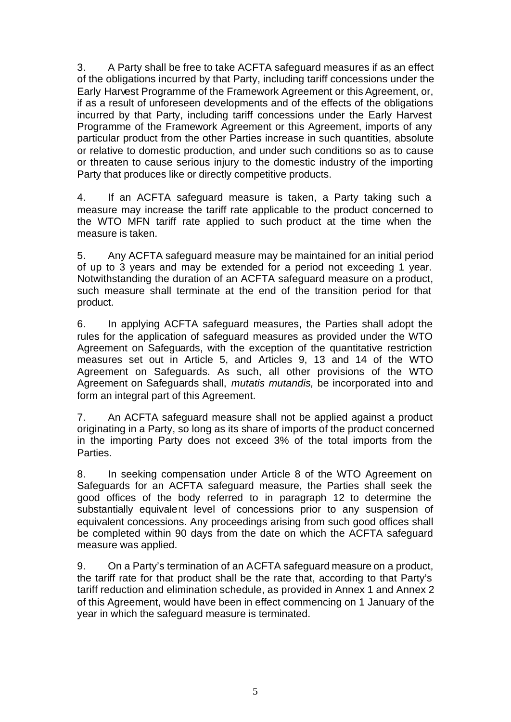3. A Party shall be free to take ACFTA safeguard measures if as an effect of the obligations incurred by that Party, including tariff concessions under the Early Harvest Programme of the Framework Agreement or this Agreement, or, if as a result of unforeseen developments and of the effects of the obligations incurred by that Party, including tariff concessions under the Early Harvest Programme of the Framework Agreement or this Agreement, imports of any particular product from the other Parties increase in such quantities, absolute or relative to domestic production, and under such conditions so as to cause or threaten to cause serious injury to the domestic industry of the importing Party that produces like or directly competitive products.

4. If an ACFTA safeguard measure is taken, a Party taking such a measure may increase the tariff rate applicable to the product concerned to the WTO MFN tariff rate applied to such product at the time when the measure is taken.

5. Any ACFTA safeguard measure may be maintained for an initial period of up to 3 years and may be extended for a period not exceeding 1 year. Notwithstanding the duration of an ACFTA safeguard measure on a product, such measure shall terminate at the end of the transition period for that product.

6. In applying ACFTA safeguard measures, the Parties shall adopt the rules for the application of safeguard measures as provided under the WTO Agreement on Safeguards, with the exception of the quantitative restriction measures set out in Article 5, and Articles 9, 13 and 14 of the WTO Agreement on Safeguards. As such, all other provisions of the WTO Agreement on Safeguards shall, *mutatis mutandis,* be incorporated into and form an integral part of this Agreement.

7. An ACFTA safeguard measure shall not be applied against a product originating in a Party, so long as its share of imports of the product concerned in the importing Party does not exceed 3% of the total imports from the Parties.

8. In seeking compensation under Article 8 of the WTO Agreement on Safeguards for an ACFTA safeguard measure, the Parties shall seek the good offices of the body referred to in paragraph 12 to determine the substantially equivalent level of concessions prior to any suspension of equivalent concessions. Any proceedings arising from such good offices shall be completed within 90 days from the date on which the ACFTA safeguard measure was applied.

9. On a Party's termination of an ACFTA safeguard measure on a product, the tariff rate for that product shall be the rate that, according to that Party's tariff reduction and elimination schedule, as provided in Annex 1 and Annex 2 of this Agreement, would have been in effect commencing on 1 January of the year in which the safeguard measure is terminated.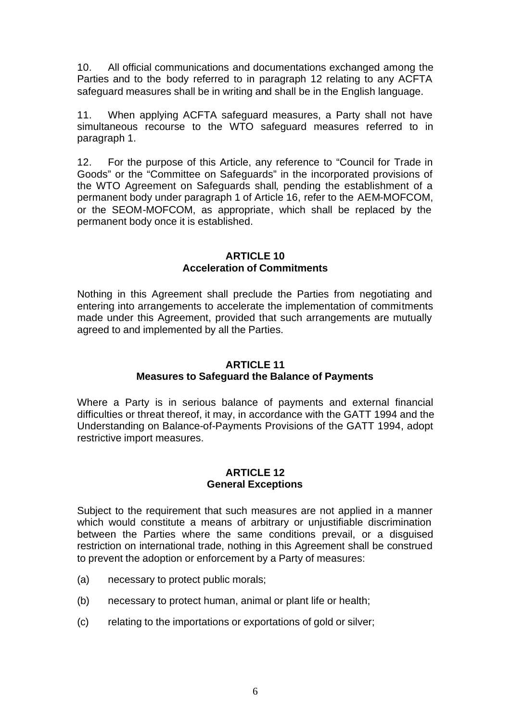10. All official communications and documentations exchanged among the Parties and to the body referred to in paragraph 12 relating to any ACFTA safeguard measures shall be in writing and shall be in the English language.

11. When applying ACFTA safeguard measures, a Party shall not have simultaneous recourse to the WTO safeguard measures referred to in paragraph 1.

12. For the purpose of this Article, any reference to "Council for Trade in Goods" or the "Committee on Safeguards" in the incorporated provisions of the WTO Agreement on Safeguards shall, pending the establishment of a permanent body under paragraph 1 of Article 16, refer to the AEM-MOFCOM, or the SEOM-MOFCOM, as appropriate, which shall be replaced by the permanent body once it is established.

#### **ARTICLE 10 Acceleration of Commitments**

Nothing in this Agreement shall preclude the Parties from negotiating and entering into arrangements to accelerate the implementation of commitments made under this Agreement, provided that such arrangements are mutually agreed to and implemented by all the Parties.

# **ARTICLE 11**

# **Measures to Safeguard the Balance of Payments**

Where a Party is in serious balance of payments and external financial difficulties or threat thereof, it may, in accordance with the GATT 1994 and the Understanding on Balance-of-Payments Provisions of the GATT 1994, adopt restrictive import measures.

### **ARTICLE 12 General Exceptions**

Subject to the requirement that such measures are not applied in a manner which would constitute a means of arbitrary or unjustifiable discrimination between the Parties where the same conditions prevail, or a disguised restriction on international trade, nothing in this Agreement shall be construed to prevent the adoption or enforcement by a Party of measures:

- (a) necessary to protect public morals;
- (b) necessary to protect human, animal or plant life or health;
- (c) relating to the importations or exportations of gold or silver;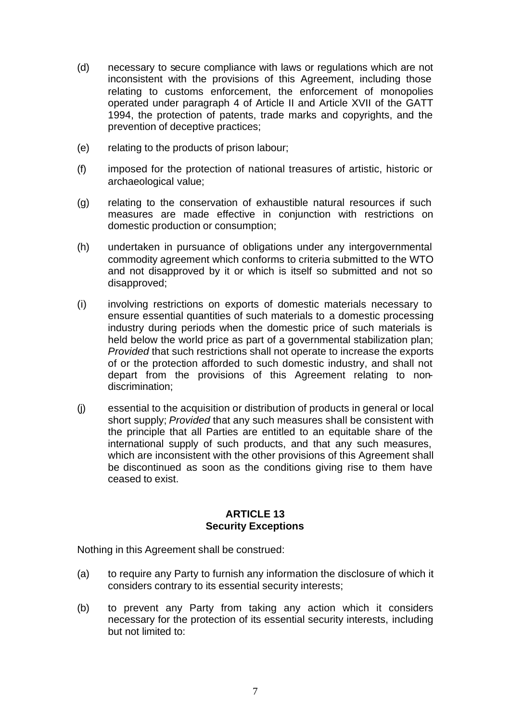- (d) necessary to secure compliance with laws or regulations which are not inconsistent with the provisions of this Agreement, including those relating to customs enforcement, the enforcement of monopolies operated under paragraph 4 of Article II and Article XVII of the GATT 1994, the protection of patents, trade marks and copyrights, and the prevention of deceptive practices;
- (e) relating to the products of prison labour;
- (f) imposed for the protection of national treasures of artistic, historic or archaeological value;
- (g) relating to the conservation of exhaustible natural resources if such measures are made effective in conjunction with restrictions on domestic production or consumption;
- (h) undertaken in pursuance of obligations under any intergovernmental commodity agreement which conforms to criteria submitted to the WTO and not disapproved by it or which is itself so submitted and not so disapproved;
- (i) involving restrictions on exports of domestic materials necessary to ensure essential quantities of such materials to a domestic processing industry during periods when the domestic price of such materials is held below the world price as part of a governmental stabilization plan; *Provided* that such restrictions shall not operate to increase the exports of or the protection afforded to such domestic industry, and shall not depart from the provisions of this Agreement relating to nondiscrimination;
- (j) essential to the acquisition or distribution of products in general or local short supply; *Provided* that any such measures shall be consistent with the principle that all Parties are entitled to an equitable share of the international supply of such products, and that any such measures, which are inconsistent with the other provisions of this Agreement shall be discontinued as soon as the conditions giving rise to them have ceased to exist.

### **ARTICLE 13 Security Exceptions**

Nothing in this Agreement shall be construed:

- (a) to require any Party to furnish any information the disclosure of which it considers contrary to its essential security interests;
- (b) to prevent any Party from taking any action which it considers necessary for the protection of its essential security interests, including but not limited to: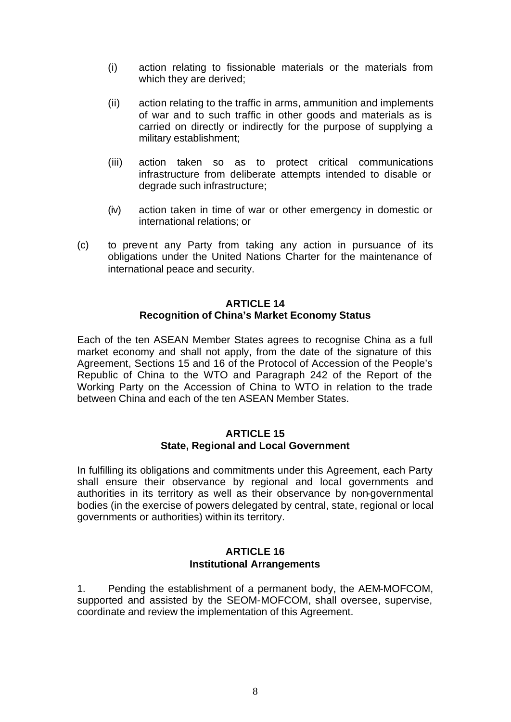- (i) action relating to fissionable materials or the materials from which they are derived;
- (ii) action relating to the traffic in arms, ammunition and implements of war and to such traffic in other goods and materials as is carried on directly or indirectly for the purpose of supplying a military establishment;
- (iii) action taken so as to protect critical communications infrastructure from deliberate attempts intended to disable or degrade such infrastructure;
- (iv) action taken in time of war or other emergency in domestic or international relations; or
- (c) to prevent any Party from taking any action in pursuance of its obligations under the United Nations Charter for the maintenance of international peace and security.

#### **ARTICLE 14 Recognition of China's Market Economy Status**

Each of the ten ASEAN Member States agrees to recognise China as a full market economy and shall not apply, from the date of the signature of this Agreement, Sections 15 and 16 of the Protocol of Accession of the People's Republic of China to the WTO and Paragraph 242 of the Report of the Working Party on the Accession of China to WTO in relation to the trade between China and each of the ten ASEAN Member States.

#### **ARTICLE 15 State, Regional and Local Government**

In fulfilling its obligations and commitments under this Agreement, each Party shall ensure their observance by regional and local governments and authorities in its territory as well as their observance by non-governmental bodies (in the exercise of powers delegated by central, state, regional or local governments or authorities) within its territory.

### **ARTICLE 16 Institutional Arrangements**

1. Pending the establishment of a permanent body, the AEM-MOFCOM, supported and assisted by the SEOM-MOFCOM, shall oversee, supervise, coordinate and review the implementation of this Agreement.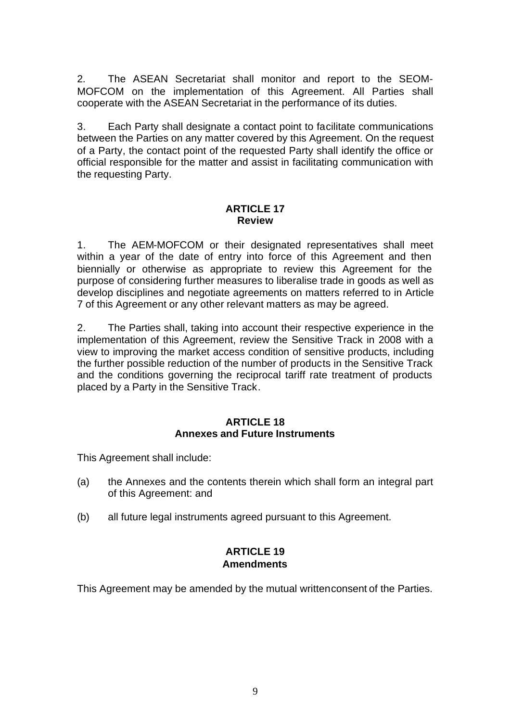2. The ASEAN Secretariat shall monitor and report to the SEOM-MOFCOM on the implementation of this Agreement. All Parties shall cooperate with the ASEAN Secretariat in the performance of its duties.

3. Each Party shall designate a contact point to facilitate communications between the Parties on any matter covered by this Agreement. On the request of a Party, the contact point of the requested Party shall identify the office or official responsible for the matter and assist in facilitating communication with the requesting Party.

#### **ARTICLE 17 Review**

1. The AEM-MOFCOM or their designated representatives shall meet within a year of the date of entry into force of this Agreement and then biennially or otherwise as appropriate to review this Agreement for the purpose of considering further measures to liberalise trade in goods as well as develop disciplines and negotiate agreements on matters referred to in Article 7 of this Agreement or any other relevant matters as may be agreed.

2. The Parties shall, taking into account their respective experience in the implementation of this Agreement, review the Sensitive Track in 2008 with a view to improving the market access condition of sensitive products, including the further possible reduction of the number of products in the Sensitive Track and the conditions governing the reciprocal tariff rate treatment of products placed by a Party in the Sensitive Track.

### **ARTICLE 18 Annexes and Future Instruments**

This Agreement shall include:

- (a) the Annexes and the contents therein which shall form an integral part of this Agreement: and
- (b) all future legal instruments agreed pursuant to this Agreement.

# **ARTICLE 19 Amendments**

This Agreement may be amended by the mutual writtenconsent of the Parties.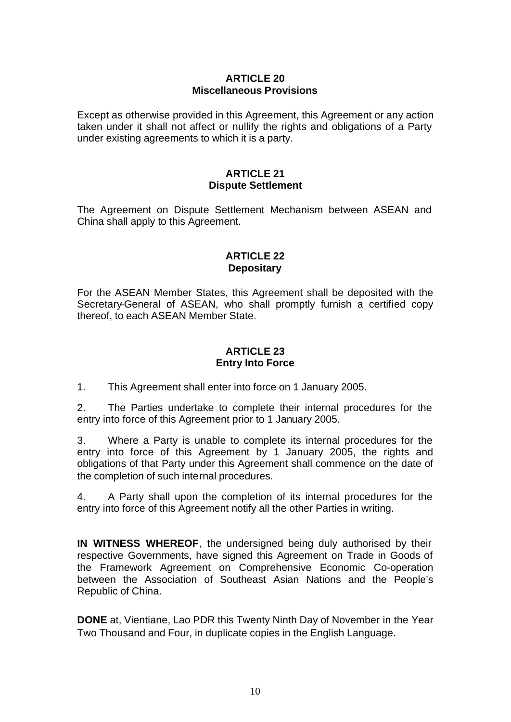### **ARTICLE 20 Miscellaneous Provisions**

Except as otherwise provided in this Agreement, this Agreement or any action taken under it shall not affect or nullify the rights and obligations of a Party under existing agreements to which it is a party.

#### **ARTICLE 21 Dispute Settlement**

The Agreement on Dispute Settlement Mechanism between ASEAN and China shall apply to this Agreement.

## **ARTICLE 22 Depositary**

For the ASEAN Member States, this Agreement shall be deposited with the Secretary-General of ASEAN, who shall promptly furnish a certified copy thereof, to each ASEAN Member State.

## **ARTICLE 23 Entry Into Force**

1. This Agreement shall enter into force on 1 January 2005.

2. The Parties undertake to complete their internal procedures for the entry into force of this Agreement prior to 1 January 2005.

3. Where a Party is unable to complete its internal procedures for the entry into force of this Agreement by 1 January 2005, the rights and obligations of that Party under this Agreement shall commence on the date of the completion of such internal procedures.

4. A Party shall upon the completion of its internal procedures for the entry into force of this Agreement notify all the other Parties in writing.

**IN WITNESS WHEREOF**, the undersigned being duly authorised by their respective Governments, have signed this Agreement on Trade in Goods of the Framework Agreement on Comprehensive Economic Co-operation between the Association of Southeast Asian Nations and the People's Republic of China.

**DONE** at, Vientiane, Lao PDR this Twenty Ninth Day of November in the Year Two Thousand and Four, in duplicate copies in the English Language.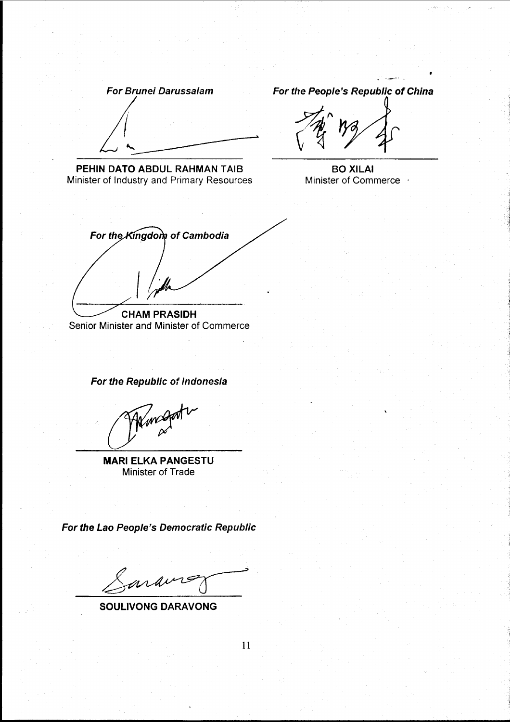**For Brunei Darussalam** 

PEHIN DATO ABDUL RAHMAN TAIB Minister of Industry and Primary Resources For the People's Republic of China

**BO XILAI** Minister of Commerce +

For the Kingdom of Cambodia **CHAM PRASIDH** 

Senior Minister and Minister of Commerce

For the Republic of Indonesia

**MARI ELKA PANGESTU** Minister of Trade

For the Lao People's Democratic Republic

araine

**SOULIVONG DARAVONG** 

11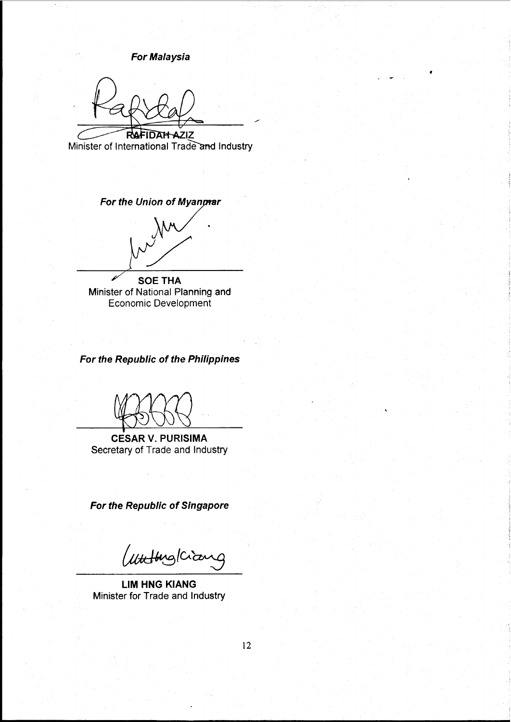**For Malaysia** 

**RAFIDAH AZIZ** 

Minister of International Trade and Industry

For the Union of Myanmar

**SOE THA** Minister of National Planning and Economic Development

For the Republic of the Philippines

**CESAR V. PURISIMA** Secretary of Trade and Industry

For the Republic of Singapore

Wutting Kiana

**LIM HNG KIANG** Minister for Trade and Industry